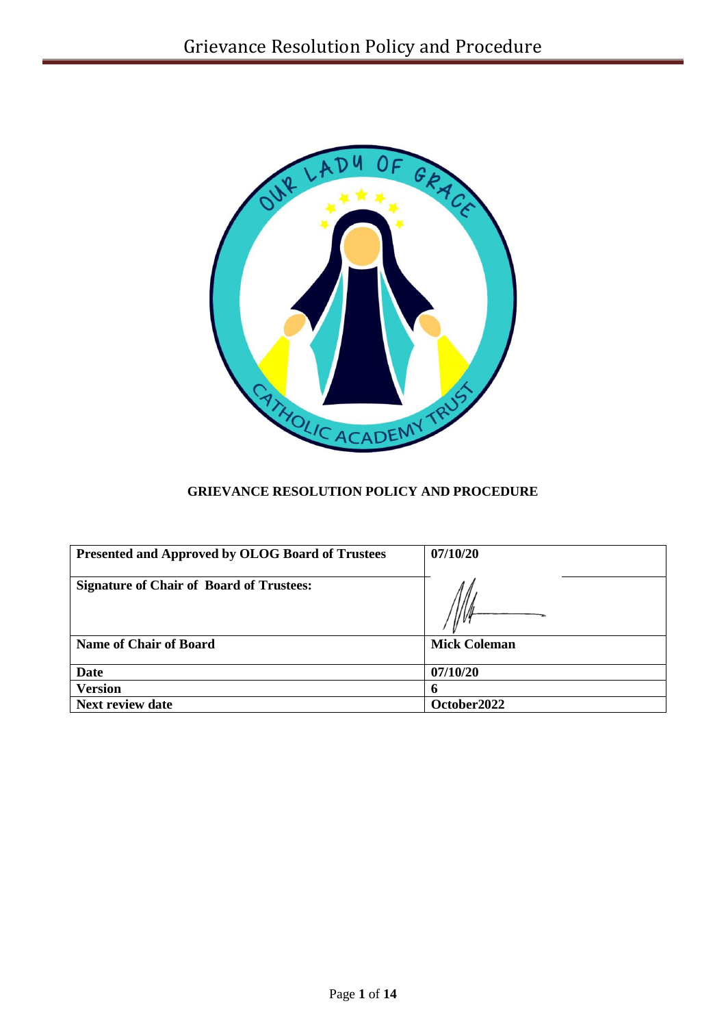

# **GRIEVANCE RESOLUTION POLICY AND PROCEDURE**

| <b>Presented and Approved by OLOG Board of Trustees</b> | 07/10/20            |
|---------------------------------------------------------|---------------------|
| <b>Signature of Chair of Board of Trustees:</b>         |                     |
| <b>Name of Chair of Board</b>                           | <b>Mick Coleman</b> |
| Date                                                    | 07/10/20            |
| <b>Version</b>                                          |                     |
| <b>Next review date</b>                                 | October 2022        |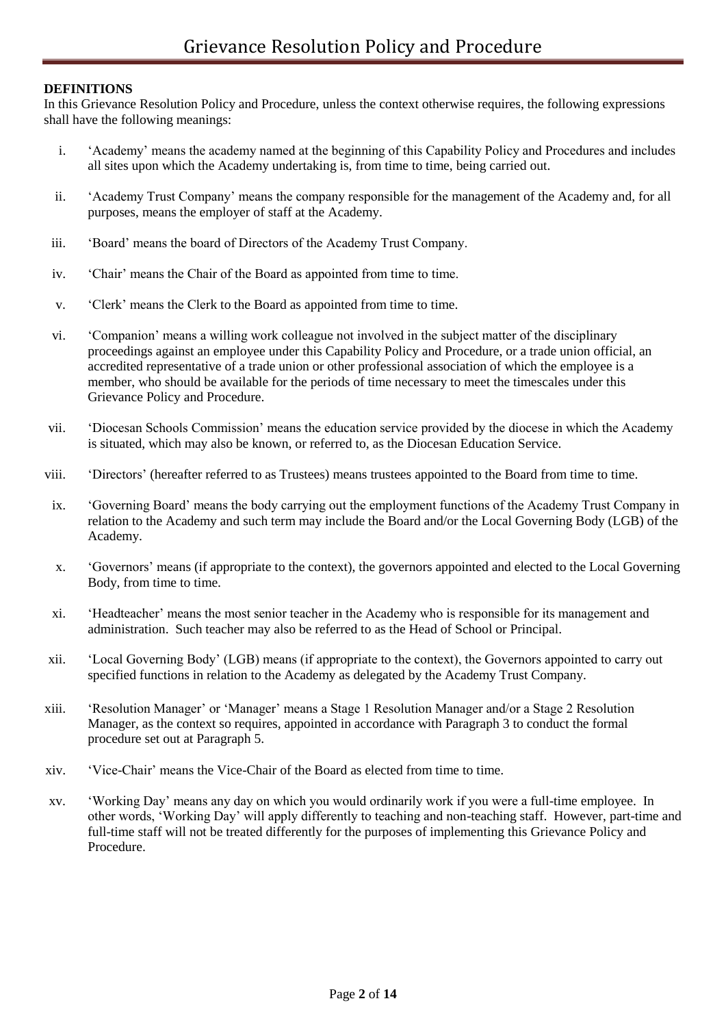### **DEFINITIONS**

In this Grievance Resolution Policy and Procedure, unless the context otherwise requires, the following expressions shall have the following meanings:

- i. 'Academy' means the academy named at the beginning of this Capability Policy and Procedures and includes all sites upon which the Academy undertaking is, from time to time, being carried out.
- ii. 'Academy Trust Company' means the company responsible for the management of the Academy and, for all purposes, means the employer of staff at the Academy.
- iii. 'Board' means the board of Directors of the Academy Trust Company.
- iv. 'Chair' means the Chair of the Board as appointed from time to time.
- v. 'Clerk' means the Clerk to the Board as appointed from time to time.
- vi. 'Companion' means a willing work colleague not involved in the subject matter of the disciplinary proceedings against an employee under this Capability Policy and Procedure, or a trade union official, an accredited representative of a trade union or other professional association of which the employee is a member, who should be available for the periods of time necessary to meet the timescales under this Grievance Policy and Procedure.
- vii. 'Diocesan Schools Commission' means the education service provided by the diocese in which the Academy is situated, which may also be known, or referred to, as the Diocesan Education Service.
- viii. 'Directors' (hereafter referred to as Trustees) means trustees appointed to the Board from time to time.
- ix. 'Governing Board' means the body carrying out the employment functions of the Academy Trust Company in relation to the Academy and such term may include the Board and/or the Local Governing Body (LGB) of the Academy.
- x. 'Governors' means (if appropriate to the context), the governors appointed and elected to the Local Governing Body, from time to time.
- xi. 'Headteacher' means the most senior teacher in the Academy who is responsible for its management and administration. Such teacher may also be referred to as the Head of School or Principal.
- xii. 'Local Governing Body' (LGB) means (if appropriate to the context), the Governors appointed to carry out specified functions in relation to the Academy as delegated by the Academy Trust Company.
- xiii. 'Resolution Manager' or 'Manager' means a Stage 1 Resolution Manager and/or a Stage 2 Resolution Manager, as the context so requires, appointed in accordance with Paragraph 3 to conduct the formal procedure set out at Paragraph 5.
- xiv. 'Vice-Chair' means the Vice-Chair of the Board as elected from time to time.
- xv. 'Working Day' means any day on which you would ordinarily work if you were a full-time employee. In other words, 'Working Day' will apply differently to teaching and non-teaching staff. However, part-time and full-time staff will not be treated differently for the purposes of implementing this Grievance Policy and Procedure.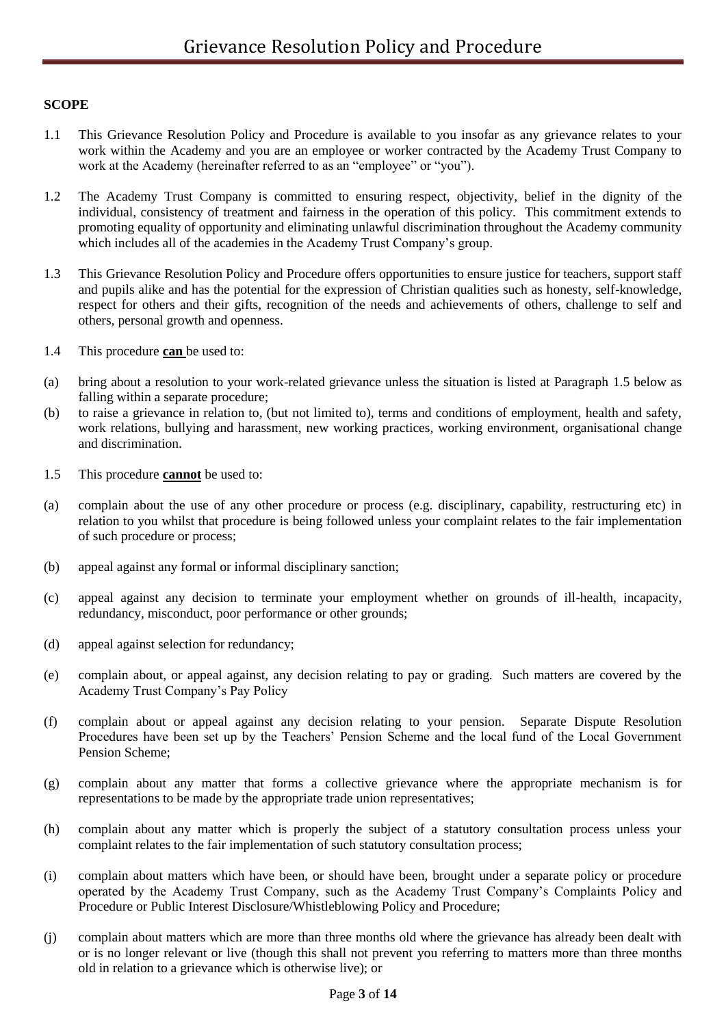### **SCOPE**

- 1.1 This Grievance Resolution Policy and Procedure is available to you insofar as any grievance relates to your work within the Academy and you are an employee or worker contracted by the Academy Trust Company to work at the Academy (hereinafter referred to as an "employee" or "you").
- 1.2 The Academy Trust Company is committed to ensuring respect, objectivity, belief in the dignity of the individual, consistency of treatment and fairness in the operation of this policy. This commitment extends to promoting equality of opportunity and eliminating unlawful discrimination throughout the Academy community which includes all of the academies in the Academy Trust Company's group.
- 1.3 This Grievance Resolution Policy and Procedure offers opportunities to ensure justice for teachers, support staff and pupils alike and has the potential for the expression of Christian qualities such as honesty, self-knowledge, respect for others and their gifts, recognition of the needs and achievements of others, challenge to self and others, personal growth and openness.
- 1.4 This procedure **can** be used to:
- (a) bring about a resolution to your work-related grievance unless the situation is listed at Paragraph 1.5 below as falling within a separate procedure;
- (b) to raise a grievance in relation to, (but not limited to), terms and conditions of employment, health and safety, work relations, bullying and harassment, new working practices, working environment, organisational change and discrimination.
- 1.5 This procedure **cannot** be used to:
- (a) complain about the use of any other procedure or process (e.g. disciplinary, capability, restructuring etc) in relation to you whilst that procedure is being followed unless your complaint relates to the fair implementation of such procedure or process;
- (b) appeal against any formal or informal disciplinary sanction;
- (c) appeal against any decision to terminate your employment whether on grounds of ill-health, incapacity, redundancy, misconduct, poor performance or other grounds;
- (d) appeal against selection for redundancy;
- (e) complain about, or appeal against, any decision relating to pay or grading. Such matters are covered by the Academy Trust Company's Pay Policy
- (f) complain about or appeal against any decision relating to your pension. Separate Dispute Resolution Procedures have been set up by the Teachers' Pension Scheme and the local fund of the Local Government Pension Scheme;
- (g) complain about any matter that forms a collective grievance where the appropriate mechanism is for representations to be made by the appropriate trade union representatives;
- (h) complain about any matter which is properly the subject of a statutory consultation process unless your complaint relates to the fair implementation of such statutory consultation process;
- (i) complain about matters which have been, or should have been, brought under a separate policy or procedure operated by the Academy Trust Company, such as the Academy Trust Company's Complaints Policy and Procedure or Public Interest Disclosure/Whistleblowing Policy and Procedure;
- (j) complain about matters which are more than three months old where the grievance has already been dealt with or is no longer relevant or live (though this shall not prevent you referring to matters more than three months old in relation to a grievance which is otherwise live); or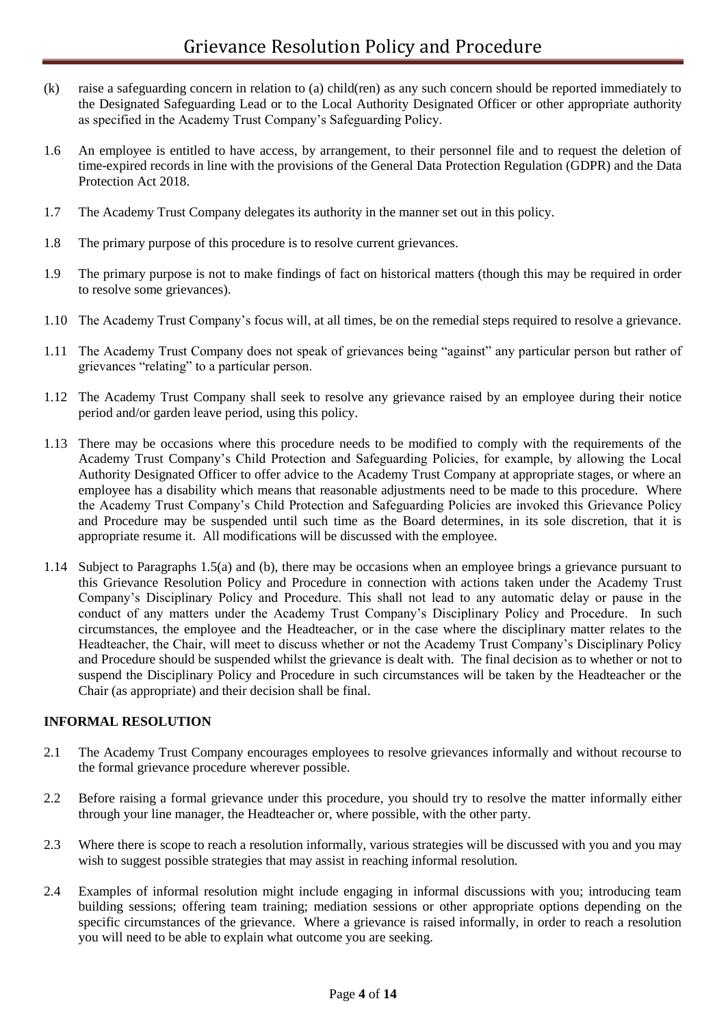- (k) raise a safeguarding concern in relation to (a) child(ren) as any such concern should be reported immediately to the Designated Safeguarding Lead or to the Local Authority Designated Officer or other appropriate authority as specified in the Academy Trust Company's Safeguarding Policy.
- 1.6 An employee is entitled to have access, by arrangement, to their personnel file and to request the deletion of time-expired records in line with the provisions of the General Data Protection Regulation (GDPR) and the Data Protection Act 2018.
- 1.7 The Academy Trust Company delegates its authority in the manner set out in this policy.
- 1.8 The primary purpose of this procedure is to resolve current grievances.
- 1.9 The primary purpose is not to make findings of fact on historical matters (though this may be required in order to resolve some grievances).
- 1.10 The Academy Trust Company's focus will, at all times, be on the remedial steps required to resolve a grievance.
- 1.11 The Academy Trust Company does not speak of grievances being "against" any particular person but rather of grievances "relating" to a particular person.
- 1.12 The Academy Trust Company shall seek to resolve any grievance raised by an employee during their notice period and/or garden leave period, using this policy.
- 1.13 There may be occasions where this procedure needs to be modified to comply with the requirements of the Academy Trust Company's Child Protection and Safeguarding Policies, for example, by allowing the Local Authority Designated Officer to offer advice to the Academy Trust Company at appropriate stages, or where an employee has a disability which means that reasonable adjustments need to be made to this procedure. Where the Academy Trust Company's Child Protection and Safeguarding Policies are invoked this Grievance Policy and Procedure may be suspended until such time as the Board determines, in its sole discretion, that it is appropriate resume it. All modifications will be discussed with the employee.
- 1.14 Subject to Paragraphs 1.5(a) and (b), there may be occasions when an employee brings a grievance pursuant to this Grievance Resolution Policy and Procedure in connection with actions taken under the Academy Trust Company's Disciplinary Policy and Procedure. This shall not lead to any automatic delay or pause in the conduct of any matters under the Academy Trust Company's Disciplinary Policy and Procedure. In such circumstances, the employee and the Headteacher, or in the case where the disciplinary matter relates to the Headteacher, the Chair, will meet to discuss whether or not the Academy Trust Company's Disciplinary Policy and Procedure should be suspended whilst the grievance is dealt with. The final decision as to whether or not to suspend the Disciplinary Policy and Procedure in such circumstances will be taken by the Headteacher or the Chair (as appropriate) and their decision shall be final.

#### **INFORMAL RESOLUTION**

- 2.1 The Academy Trust Company encourages employees to resolve grievances informally and without recourse to the formal grievance procedure wherever possible.
- 2.2 Before raising a formal grievance under this procedure, you should try to resolve the matter informally either through your line manager, the Headteacher or, where possible, with the other party.
- 2.3 Where there is scope to reach a resolution informally, various strategies will be discussed with you and you may wish to suggest possible strategies that may assist in reaching informal resolution.
- 2.4 Examples of informal resolution might include engaging in informal discussions with you; introducing team building sessions; offering team training; mediation sessions or other appropriate options depending on the specific circumstances of the grievance. Where a grievance is raised informally, in order to reach a resolution you will need to be able to explain what outcome you are seeking.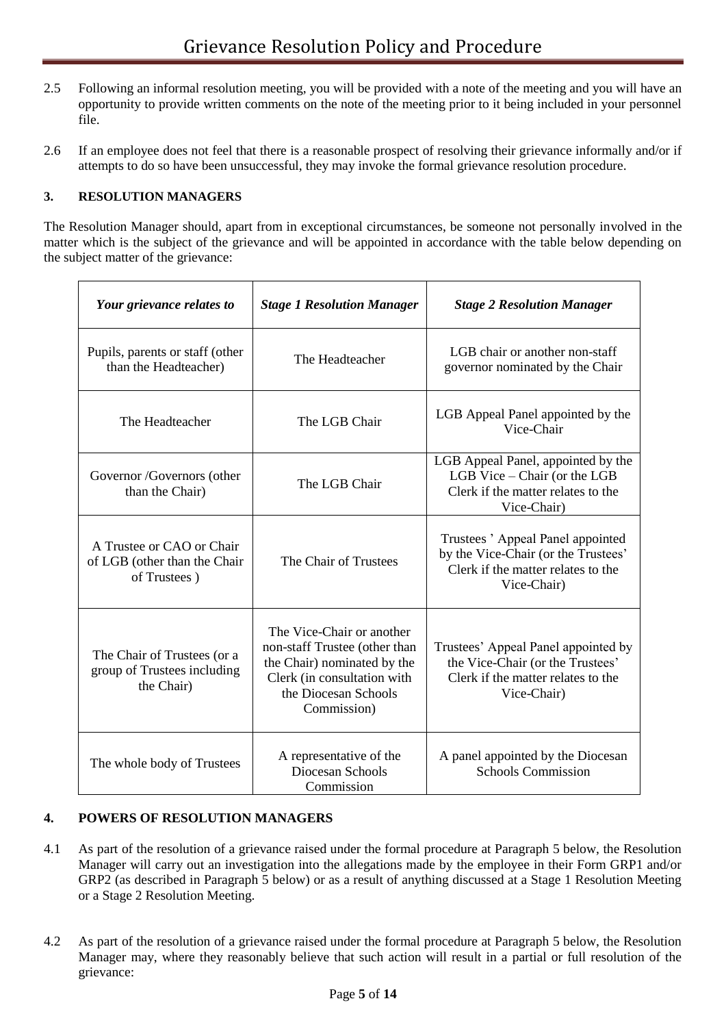- 2.5 Following an informal resolution meeting, you will be provided with a note of the meeting and you will have an opportunity to provide written comments on the note of the meeting prior to it being included in your personnel file.
- 2.6 If an employee does not feel that there is a reasonable prospect of resolving their grievance informally and/or if attempts to do so have been unsuccessful, they may invoke the formal grievance resolution procedure.

### **3. RESOLUTION MANAGERS**

The Resolution Manager should, apart from in exceptional circumstances, be someone not personally involved in the matter which is the subject of the grievance and will be appointed in accordance with the table below depending on the subject matter of the grievance:

| Your grievance relates to                                                 | <b>Stage 1 Resolution Manager</b>                                                                                                                               | <b>Stage 2 Resolution Manager</b>                                                                                            |
|---------------------------------------------------------------------------|-----------------------------------------------------------------------------------------------------------------------------------------------------------------|------------------------------------------------------------------------------------------------------------------------------|
| Pupils, parents or staff (other<br>than the Headteacher)                  | The Headteacher                                                                                                                                                 | LGB chair or another non-staff<br>governor nominated by the Chair                                                            |
| The Headteacher                                                           | The LGB Chair                                                                                                                                                   | LGB Appeal Panel appointed by the<br>Vice-Chair                                                                              |
| Governor /Governors (other<br>than the Chair)                             | The LGB Chair                                                                                                                                                   | LGB Appeal Panel, appointed by the<br>LGB Vice - Chair (or the LGB<br>Clerk if the matter relates to the<br>Vice-Chair)      |
| A Trustee or CAO or Chair<br>of LGB (other than the Chair<br>of Trustees) | The Chair of Trustees                                                                                                                                           | Trustees 'Appeal Panel appointed<br>by the Vice-Chair (or the Trustees'<br>Clerk if the matter relates to the<br>Vice-Chair) |
| The Chair of Trustees (or a<br>group of Trustees including<br>the Chair)  | The Vice-Chair or another<br>non-staff Trustee (other than<br>the Chair) nominated by the<br>Clerk (in consultation with<br>the Diocesan Schools<br>Commission) | Trustees' Appeal Panel appointed by<br>the Vice-Chair (or the Trustees'<br>Clerk if the matter relates to the<br>Vice-Chair) |
| The whole body of Trustees                                                | A representative of the<br>Diocesan Schools<br>Commission                                                                                                       | A panel appointed by the Diocesan<br><b>Schools Commission</b>                                                               |

### **4. POWERS OF RESOLUTION MANAGERS**

- 4.1 As part of the resolution of a grievance raised under the formal procedure at Paragraph 5 below, the Resolution Manager will carry out an investigation into the allegations made by the employee in their Form GRP1 and/or GRP2 (as described in Paragraph 5 below) or as a result of anything discussed at a Stage 1 Resolution Meeting or a Stage 2 Resolution Meeting.
- 4.2 As part of the resolution of a grievance raised under the formal procedure at Paragraph 5 below, the Resolution Manager may, where they reasonably believe that such action will result in a partial or full resolution of the grievance: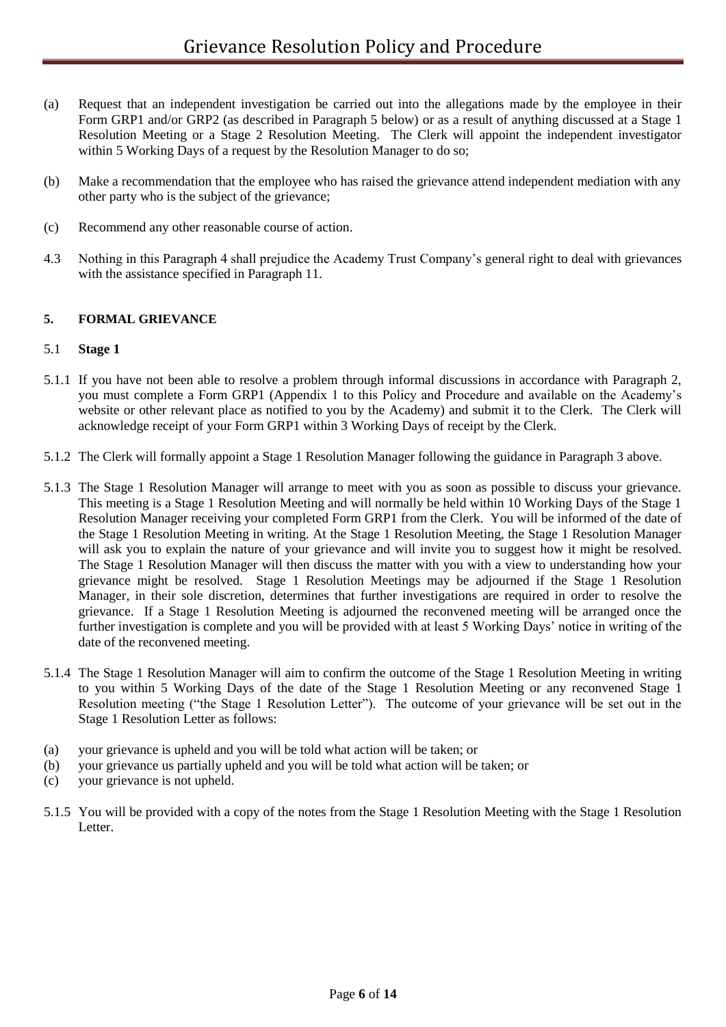- (a) Request that an independent investigation be carried out into the allegations made by the employee in their Form GRP1 and/or GRP2 (as described in Paragraph 5 below) or as a result of anything discussed at a Stage 1 Resolution Meeting or a Stage 2 Resolution Meeting. The Clerk will appoint the independent investigator within 5 Working Days of a request by the Resolution Manager to do so;
- (b) Make a recommendation that the employee who has raised the grievance attend independent mediation with any other party who is the subject of the grievance;
- (c) Recommend any other reasonable course of action.
- 4.3 Nothing in this Paragraph 4 shall prejudice the Academy Trust Company's general right to deal with grievances with the assistance specified in Paragraph 11.

#### **5. FORMAL GRIEVANCE**

#### 5.1 **Stage 1**

- 5.1.1 If you have not been able to resolve a problem through informal discussions in accordance with Paragraph 2, you must complete a Form GRP1 (Appendix 1 to this Policy and Procedure and available on the Academy's website or other relevant place as notified to you by the Academy) and submit it to the Clerk. The Clerk will acknowledge receipt of your Form GRP1 within 3 Working Days of receipt by the Clerk.
- 5.1.2 The Clerk will formally appoint a Stage 1 Resolution Manager following the guidance in Paragraph 3 above.
- 5.1.3 The Stage 1 Resolution Manager will arrange to meet with you as soon as possible to discuss your grievance. This meeting is a Stage 1 Resolution Meeting and will normally be held within 10 Working Days of the Stage 1 Resolution Manager receiving your completed Form GRP1 from the Clerk. You will be informed of the date of the Stage 1 Resolution Meeting in writing. At the Stage 1 Resolution Meeting, the Stage 1 Resolution Manager will ask you to explain the nature of your grievance and will invite you to suggest how it might be resolved. The Stage 1 Resolution Manager will then discuss the matter with you with a view to understanding how your grievance might be resolved. Stage 1 Resolution Meetings may be adjourned if the Stage 1 Resolution Manager, in their sole discretion, determines that further investigations are required in order to resolve the grievance. If a Stage 1 Resolution Meeting is adjourned the reconvened meeting will be arranged once the further investigation is complete and you will be provided with at least 5 Working Days' notice in writing of the date of the reconvened meeting.
- 5.1.4 The Stage 1 Resolution Manager will aim to confirm the outcome of the Stage 1 Resolution Meeting in writing to you within 5 Working Days of the date of the Stage 1 Resolution Meeting or any reconvened Stage 1 Resolution meeting ("the Stage 1 Resolution Letter"). The outcome of your grievance will be set out in the Stage 1 Resolution Letter as follows:
- (a) your grievance is upheld and you will be told what action will be taken; or
- (b) your grievance us partially upheld and you will be told what action will be taken; or
- (c) your grievance is not upheld.
- 5.1.5 You will be provided with a copy of the notes from the Stage 1 Resolution Meeting with the Stage 1 Resolution Letter.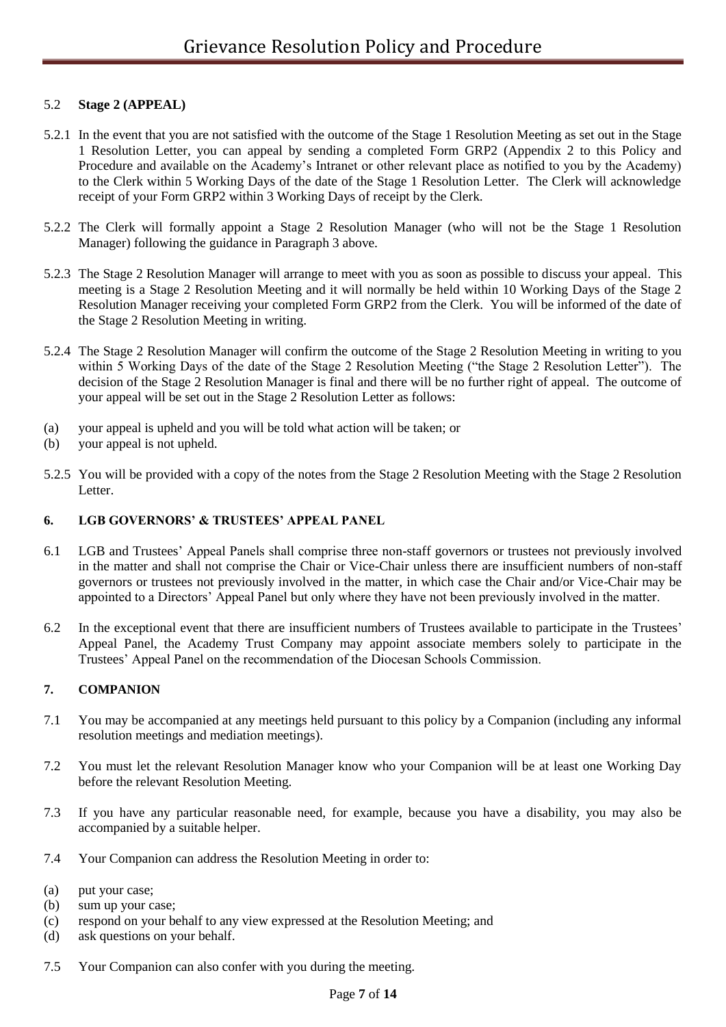#### 5.2 **Stage 2 (APPEAL)**

- 5.2.1 In the event that you are not satisfied with the outcome of the Stage 1 Resolution Meeting as set out in the Stage 1 Resolution Letter, you can appeal by sending a completed Form GRP2 (Appendix 2 to this Policy and Procedure and available on the Academy's Intranet or other relevant place as notified to you by the Academy) to the Clerk within 5 Working Days of the date of the Stage 1 Resolution Letter. The Clerk will acknowledge receipt of your Form GRP2 within 3 Working Days of receipt by the Clerk.
- 5.2.2 The Clerk will formally appoint a Stage 2 Resolution Manager (who will not be the Stage 1 Resolution Manager) following the guidance in Paragraph 3 above.
- 5.2.3 The Stage 2 Resolution Manager will arrange to meet with you as soon as possible to discuss your appeal. This meeting is a Stage 2 Resolution Meeting and it will normally be held within 10 Working Days of the Stage 2 Resolution Manager receiving your completed Form GRP2 from the Clerk. You will be informed of the date of the Stage 2 Resolution Meeting in writing.
- 5.2.4 The Stage 2 Resolution Manager will confirm the outcome of the Stage 2 Resolution Meeting in writing to you within 5 Working Days of the date of the Stage 2 Resolution Meeting ("the Stage 2 Resolution Letter"). The decision of the Stage 2 Resolution Manager is final and there will be no further right of appeal. The outcome of your appeal will be set out in the Stage 2 Resolution Letter as follows:
- (a) your appeal is upheld and you will be told what action will be taken; or
- (b) your appeal is not upheld.
- 5.2.5 You will be provided with a copy of the notes from the Stage 2 Resolution Meeting with the Stage 2 Resolution Letter.

#### **6. LGB GOVERNORS' & TRUSTEES' APPEAL PANEL**

- 6.1 LGB and Trustees' Appeal Panels shall comprise three non-staff governors or trustees not previously involved in the matter and shall not comprise the Chair or Vice-Chair unless there are insufficient numbers of non-staff governors or trustees not previously involved in the matter, in which case the Chair and/or Vice-Chair may be appointed to a Directors' Appeal Panel but only where they have not been previously involved in the matter.
- 6.2 In the exceptional event that there are insufficient numbers of Trustees available to participate in the Trustees' Appeal Panel, the Academy Trust Company may appoint associate members solely to participate in the Trustees' Appeal Panel on the recommendation of the Diocesan Schools Commission.

#### **7. COMPANION**

- 7.1 You may be accompanied at any meetings held pursuant to this policy by a Companion (including any informal resolution meetings and mediation meetings).
- 7.2 You must let the relevant Resolution Manager know who your Companion will be at least one Working Day before the relevant Resolution Meeting.
- 7.3 If you have any particular reasonable need, for example, because you have a disability, you may also be accompanied by a suitable helper.
- 7.4 Your Companion can address the Resolution Meeting in order to:
- (a) put your case;
- (b) sum up your case;
- (c) respond on your behalf to any view expressed at the Resolution Meeting; and
- (d) ask questions on your behalf.
- 7.5 Your Companion can also confer with you during the meeting.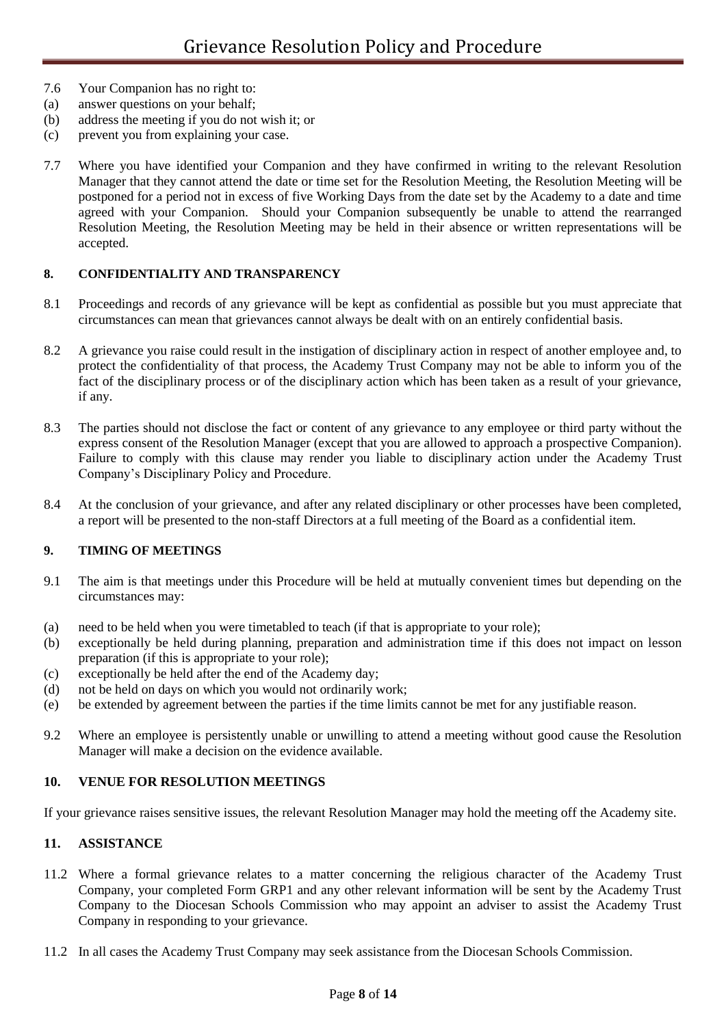- 7.6 Your Companion has no right to:
- (a) answer questions on your behalf;
- (b) address the meeting if you do not wish it; or
- (c) prevent you from explaining your case.
- 7.7 Where you have identified your Companion and they have confirmed in writing to the relevant Resolution Manager that they cannot attend the date or time set for the Resolution Meeting, the Resolution Meeting will be postponed for a period not in excess of five Working Days from the date set by the Academy to a date and time agreed with your Companion. Should your Companion subsequently be unable to attend the rearranged Resolution Meeting, the Resolution Meeting may be held in their absence or written representations will be accepted.

### **8. CONFIDENTIALITY AND TRANSPARENCY**

- 8.1 Proceedings and records of any grievance will be kept as confidential as possible but you must appreciate that circumstances can mean that grievances cannot always be dealt with on an entirely confidential basis.
- 8.2 A grievance you raise could result in the instigation of disciplinary action in respect of another employee and, to protect the confidentiality of that process, the Academy Trust Company may not be able to inform you of the fact of the disciplinary process or of the disciplinary action which has been taken as a result of your grievance, if any.
- 8.3 The parties should not disclose the fact or content of any grievance to any employee or third party without the express consent of the Resolution Manager (except that you are allowed to approach a prospective Companion). Failure to comply with this clause may render you liable to disciplinary action under the Academy Trust Company's Disciplinary Policy and Procedure.
- 8.4 At the conclusion of your grievance, and after any related disciplinary or other processes have been completed, a report will be presented to the non-staff Directors at a full meeting of the Board as a confidential item.

### **9. TIMING OF MEETINGS**

- 9.1 The aim is that meetings under this Procedure will be held at mutually convenient times but depending on the circumstances may:
- (a) need to be held when you were timetabled to teach (if that is appropriate to your role);
- (b) exceptionally be held during planning, preparation and administration time if this does not impact on lesson preparation (if this is appropriate to your role);
- (c) exceptionally be held after the end of the Academy day;
- (d) not be held on days on which you would not ordinarily work;
- (e) be extended by agreement between the parties if the time limits cannot be met for any justifiable reason.
- 9.2 Where an employee is persistently unable or unwilling to attend a meeting without good cause the Resolution Manager will make a decision on the evidence available.

### **10. VENUE FOR RESOLUTION MEETINGS**

If your grievance raises sensitive issues, the relevant Resolution Manager may hold the meeting off the Academy site.

### **11. ASSISTANCE**

- 11.2 Where a formal grievance relates to a matter concerning the religious character of the Academy Trust Company, your completed Form GRP1 and any other relevant information will be sent by the Academy Trust Company to the Diocesan Schools Commission who may appoint an adviser to assist the Academy Trust Company in responding to your grievance.
- 11.2 In all cases the Academy Trust Company may seek assistance from the Diocesan Schools Commission.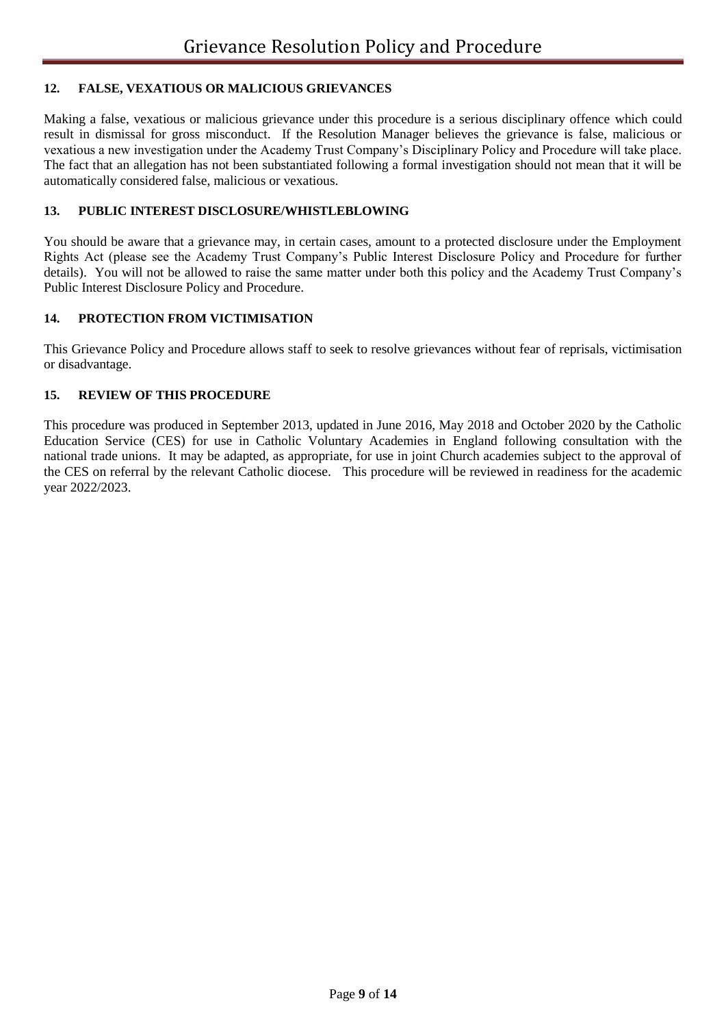### **12. FALSE, VEXATIOUS OR MALICIOUS GRIEVANCES**

Making a false, vexatious or malicious grievance under this procedure is a serious disciplinary offence which could result in dismissal for gross misconduct. If the Resolution Manager believes the grievance is false, malicious or vexatious a new investigation under the Academy Trust Company's Disciplinary Policy and Procedure will take place. The fact that an allegation has not been substantiated following a formal investigation should not mean that it will be automatically considered false, malicious or vexatious.

#### **13. PUBLIC INTEREST DISCLOSURE/WHISTLEBLOWING**

You should be aware that a grievance may, in certain cases, amount to a protected disclosure under the Employment Rights Act (please see the Academy Trust Company's Public Interest Disclosure Policy and Procedure for further details). You will not be allowed to raise the same matter under both this policy and the Academy Trust Company's Public Interest Disclosure Policy and Procedure.

#### **14. PROTECTION FROM VICTIMISATION**

This Grievance Policy and Procedure allows staff to seek to resolve grievances without fear of reprisals, victimisation or disadvantage.

#### **15. REVIEW OF THIS PROCEDURE**

This procedure was produced in September 2013, updated in June 2016, May 2018 and October 2020 by the Catholic Education Service (CES) for use in Catholic Voluntary Academies in England following consultation with the national trade unions. It may be adapted, as appropriate, for use in joint Church academies subject to the approval of the CES on referral by the relevant Catholic diocese. This procedure will be reviewed in readiness for the academic year 2022/2023.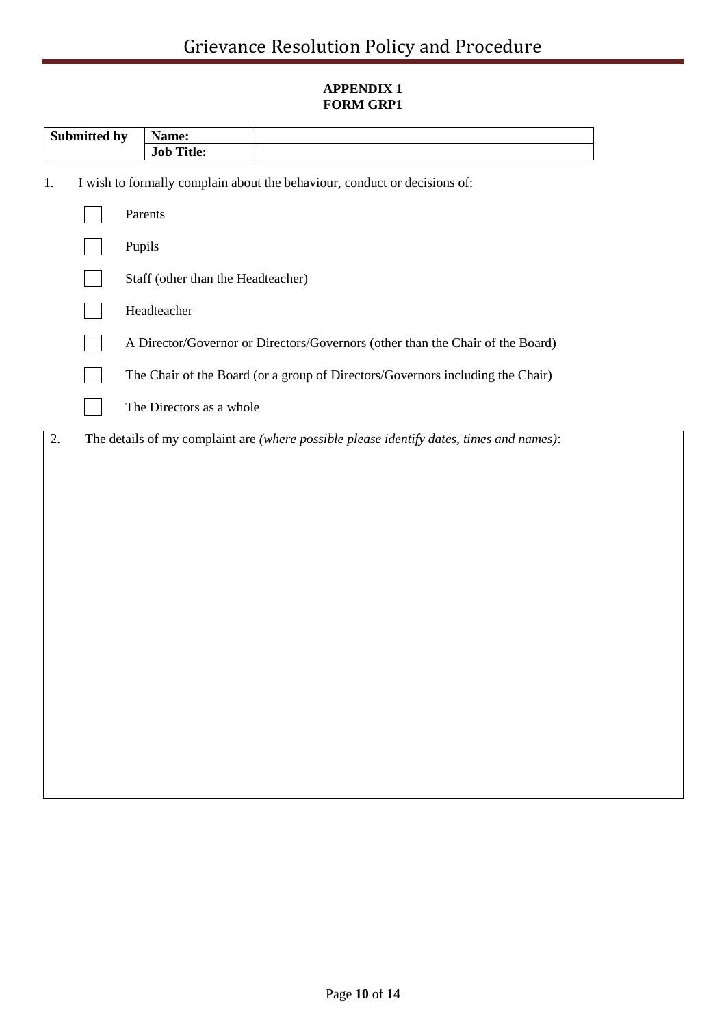## **APPENDIX 1 FORM GRP1**

| Submitted by |  | Name:                              |                                                                                          |  |  |
|--------------|--|------------------------------------|------------------------------------------------------------------------------------------|--|--|
|              |  | <b>Job Title:</b>                  |                                                                                          |  |  |
| 1.           |  |                                    | I wish to formally complain about the behaviour, conduct or decisions of:                |  |  |
|              |  | Parents                            |                                                                                          |  |  |
|              |  |                                    |                                                                                          |  |  |
|              |  | Pupils                             |                                                                                          |  |  |
|              |  | Staff (other than the Headteacher) |                                                                                          |  |  |
|              |  | Headteacher                        |                                                                                          |  |  |
|              |  |                                    | A Director/Governor or Directors/Governors (other than the Chair of the Board)           |  |  |
|              |  |                                    | The Chair of the Board (or a group of Directors/Governors including the Chair)           |  |  |
|              |  | The Directors as a whole           |                                                                                          |  |  |
| 2.           |  |                                    | The details of my complaint are (where possible please identify dates, times and names): |  |  |
|              |  |                                    |                                                                                          |  |  |
|              |  |                                    |                                                                                          |  |  |
|              |  |                                    |                                                                                          |  |  |
|              |  |                                    |                                                                                          |  |  |
|              |  |                                    |                                                                                          |  |  |
|              |  |                                    |                                                                                          |  |  |
|              |  |                                    |                                                                                          |  |  |
|              |  |                                    |                                                                                          |  |  |
|              |  |                                    |                                                                                          |  |  |
|              |  |                                    |                                                                                          |  |  |
|              |  |                                    |                                                                                          |  |  |
|              |  |                                    |                                                                                          |  |  |
|              |  |                                    |                                                                                          |  |  |
|              |  |                                    |                                                                                          |  |  |
|              |  |                                    |                                                                                          |  |  |
|              |  |                                    |                                                                                          |  |  |
|              |  |                                    |                                                                                          |  |  |
|              |  |                                    |                                                                                          |  |  |
|              |  |                                    |                                                                                          |  |  |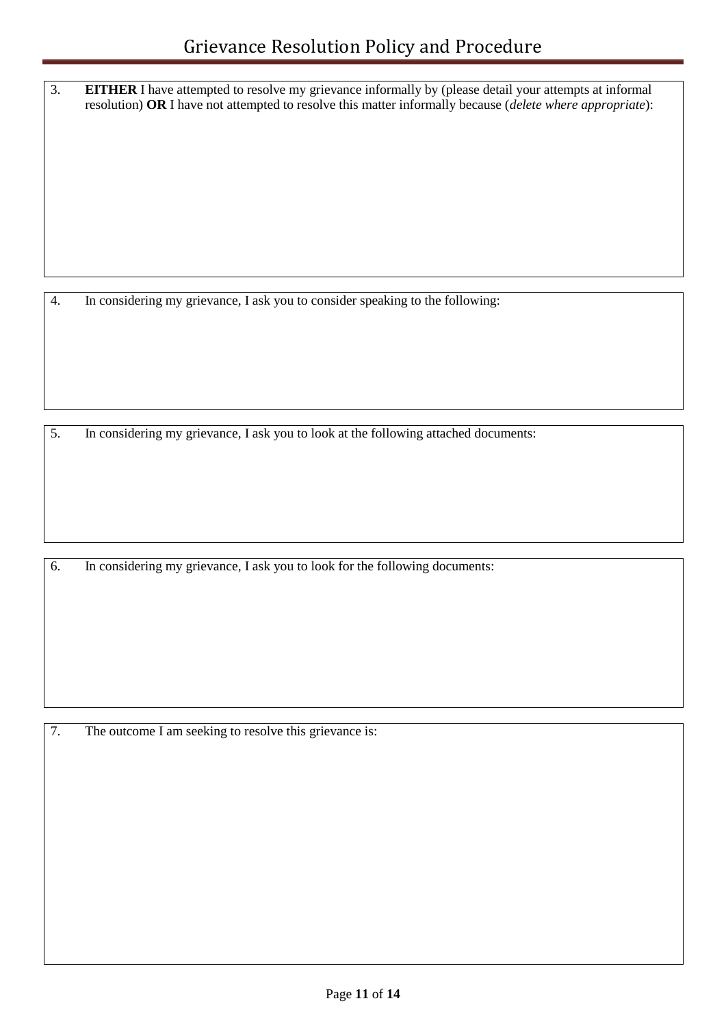3. **EITHER** I have attempted to resolve my grievance informally by (please detail your attempts at informal resolution) **OR** I have not attempted to resolve this matter informally because (*delete where appropriate*):

4. In considering my grievance, I ask you to consider speaking to the following:

5. In considering my grievance, I ask you to look at the following attached documents:

6. In considering my grievance, I ask you to look for the following documents:

7. The outcome I am seeking to resolve this grievance is: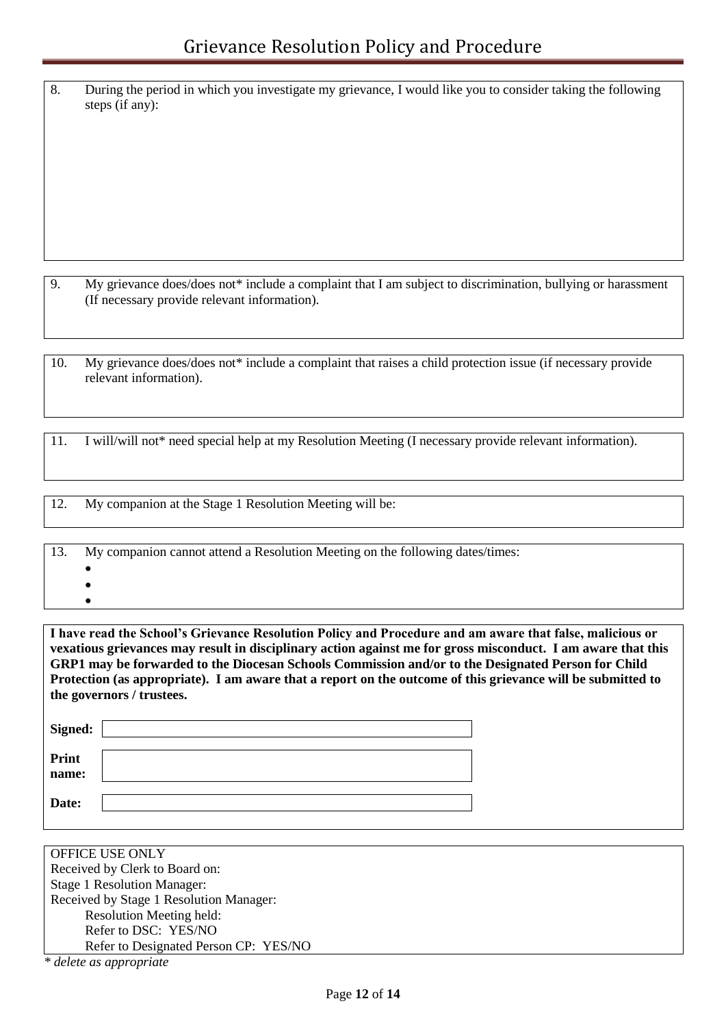8. During the period in which you investigate my grievance, I would like you to consider taking the following steps (if any):

9. My grievance does/does not\* include a complaint that I am subject to discrimination, bullying or harassment (If necessary provide relevant information).

10. My grievance does/does not\* include a complaint that raises a child protection issue (if necessary provide relevant information).

11. I will/will not\* need special help at my Resolution Meeting (I necessary provide relevant information).

12. My companion at the Stage 1 Resolution Meeting will be:

13. My companion cannot attend a Resolution Meeting on the following dates/times:

- $\bullet$
- $\bullet$  $\bullet$

**I have read the School's Grievance Resolution Policy and Procedure and am aware that false, malicious or vexatious grievances may result in disciplinary action against me for gross misconduct. I am aware that this GRP1 may be forwarded to the Diocesan Schools Commission and/or to the Designated Person for Child Protection (as appropriate). I am aware that a report on the outcome of this grievance will be submitted to the governors / trustees.**

| <b>OFFICE USE ONLY</b>                  |
|-----------------------------------------|
| Received by Clerk to Board on:          |
| <b>Stage 1 Resolution Manager:</b>      |
| Received by Stage 1 Resolution Manager: |
| <b>Resolution Meeting held:</b>         |
| Refer to DSC: YES/NO                    |
| Refer to Designated Person CP: YES/NO   |
| * delete as appropriate                 |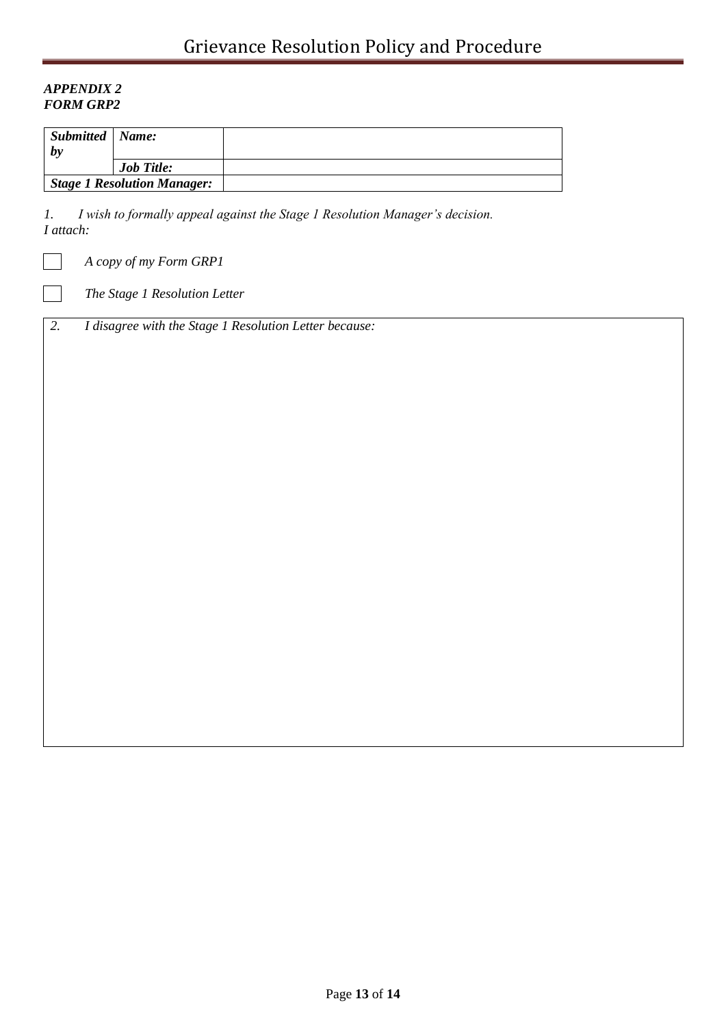### *APPENDIX 2 FORM GRP2*

 $\sim$ 

| Submitted   Name:<br>$\bm{b}$ |                                    |  |
|-------------------------------|------------------------------------|--|
|                               | <b>Job Title:</b>                  |  |
|                               | <b>Stage 1 Resolution Manager:</b> |  |

*1. I wish to formally appeal against the Stage 1 Resolution Manager's decision. I attach:*

*A copy of my Form GRP1*

*The Stage 1 Resolution Letter*

*2. I disagree with the Stage 1 Resolution Letter because:*